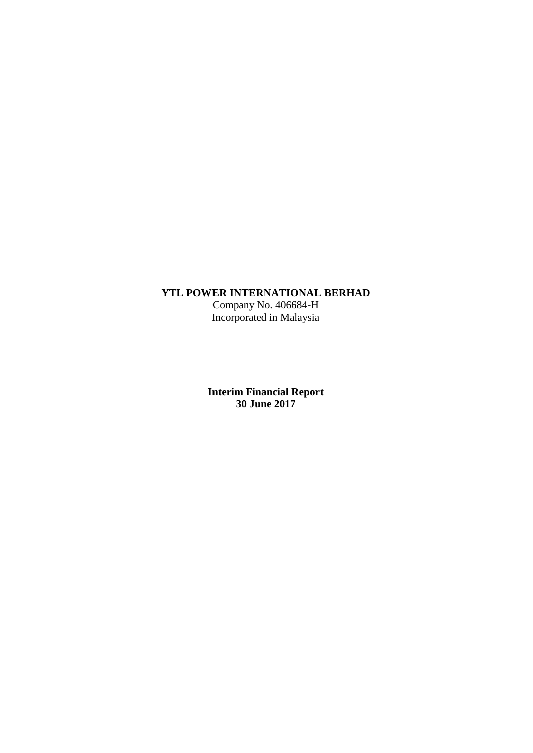# **YTL POWER INTERNATIONAL BERHAD**

Company No. 406684-H Incorporated in Malaysia

**Interim Financial Report 30 June 2017**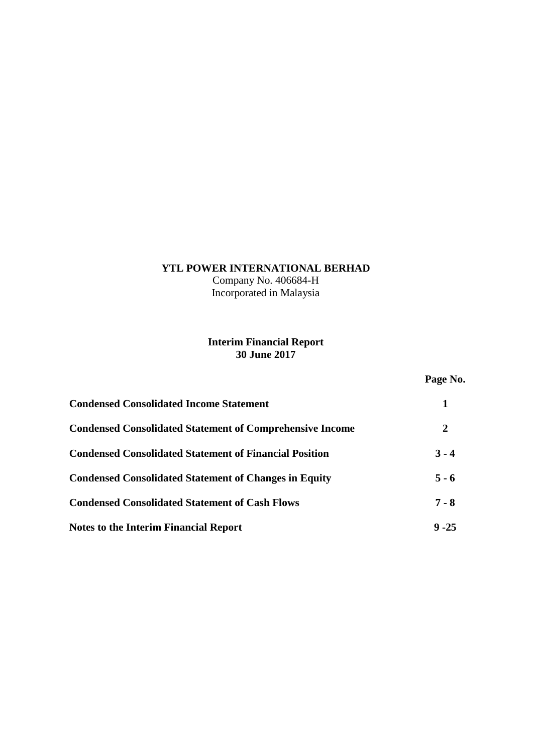# **YTL POWER INTERNATIONAL BERHAD**

Company No. 406684-H Incorporated in Malaysia

# **Interim Financial Report 30 June 2017**

# **Page No.**

| <b>Condensed Consolidated Income Statement</b>                  |          |
|-----------------------------------------------------------------|----------|
| <b>Condensed Consolidated Statement of Comprehensive Income</b> | 2        |
| <b>Condensed Consolidated Statement of Financial Position</b>   | $3 - 4$  |
| <b>Condensed Consolidated Statement of Changes in Equity</b>    | $5 - 6$  |
| <b>Condensed Consolidated Statement of Cash Flows</b>           | $7 - 8$  |
| <b>Notes to the Interim Financial Report</b>                    | $9 - 25$ |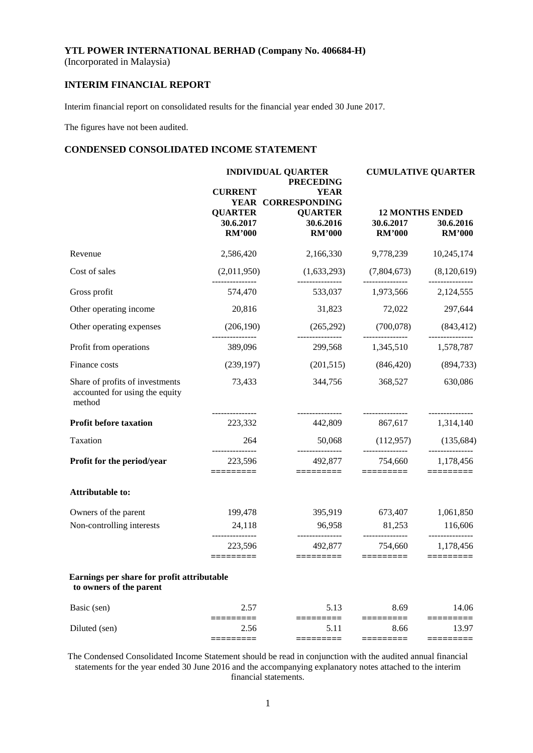(Incorporated in Malaysia)

# **INTERIM FINANCIAL REPORT**

Interim financial report on consolidated results for the financial year ended 30 June 2017.

The figures have not been audited.

# **CONDENSED CONSOLIDATED INCOME STATEMENT**

|                                                                             |                                      | <b>INDIVIDUAL QUARTER</b><br><b>PRECEDING</b>       | <b>CUMULATIVE QUARTER</b>  |                                           |  |
|-----------------------------------------------------------------------------|--------------------------------------|-----------------------------------------------------|----------------------------|-------------------------------------------|--|
|                                                                             | <b>CURRENT</b><br><b>QUARTER</b>     | <b>YEAR</b><br>YEAR CORRESPONDING<br><b>QUARTER</b> | <b>12 MONTHS ENDED</b>     |                                           |  |
|                                                                             | 30.6.2017<br><b>RM'000</b>           | 30.6.2016<br><b>RM'000</b>                          | 30.6.2017<br><b>RM'000</b> | 30.6.2016<br><b>RM'000</b>                |  |
| Revenue                                                                     | 2,586,420                            | 2,166,330                                           | 9,778,239                  | 10,245,174                                |  |
| Cost of sales                                                               | (2,011,950)                          | (1,633,293)                                         | (7,804,673)                | (8,120,619)                               |  |
| Gross profit                                                                | 574,470                              | 533,037                                             | 1,973,566                  | 2,124,555                                 |  |
| Other operating income                                                      | 20,816                               | 31,823                                              | 72,022                     | 297,644                                   |  |
| Other operating expenses                                                    | (206, 190)                           | (265, 292)                                          | (700, 078)                 | (843, 412)                                |  |
| Profit from operations                                                      | 389,096                              |                                                     | 299,568 1,345,510          | 1,578,787                                 |  |
| Finance costs                                                               | (239, 197)                           | (201,515)                                           | (846, 420)                 | (894, 733)                                |  |
| Share of profits of investments<br>accounted for using the equity<br>method | 73,433                               | 344,756                                             | 368,527                    | 630,086                                   |  |
| <b>Profit before taxation</b>                                               | 223,332                              | 442,809                                             | 867,617                    | ---------------<br>1,314,140              |  |
| Taxation                                                                    | 264                                  | 50,068                                              | (112,957)                  | (135, 684)                                |  |
| Profit for the period/year                                                  | -------------<br>223,596<br>======== | 492,877<br>=========                                | 754,660<br>=========       | ---------------<br>1,178,456<br>========= |  |
| Attributable to:                                                            |                                      |                                                     |                            |                                           |  |
| Owners of the parent                                                        | 199,478                              | 395,919                                             | 673,407                    | 1,061,850                                 |  |
| Non-controlling interests                                                   | 24,118                               | 96,958                                              | 81,253<br>---------------  | 116,606<br>---------------                |  |
|                                                                             | 223,596<br>=========                 | 492,877<br>$=$ ========                             | 754,660<br>=========       | 1,178,456<br>$=$ ========                 |  |
| Earnings per share for profit attributable<br>to owners of the parent       |                                      |                                                     |                            |                                           |  |
| Basic (sen)                                                                 | 2.57                                 | 5.13                                                | 8.69                       | 14.06                                     |  |
| Diluted (sen)                                                               | ⋍⋍⋍⋍<br>2.56<br>=====                | 5.11<br>=======                                     | 8.66<br>=======            | 13.97<br>======                           |  |
|                                                                             |                                      |                                                     |                            |                                           |  |

The Condensed Consolidated Income Statement should be read in conjunction with the audited annual financial statements for the year ended 30 June 2016 and the accompanying explanatory notes attached to the interim financial statements.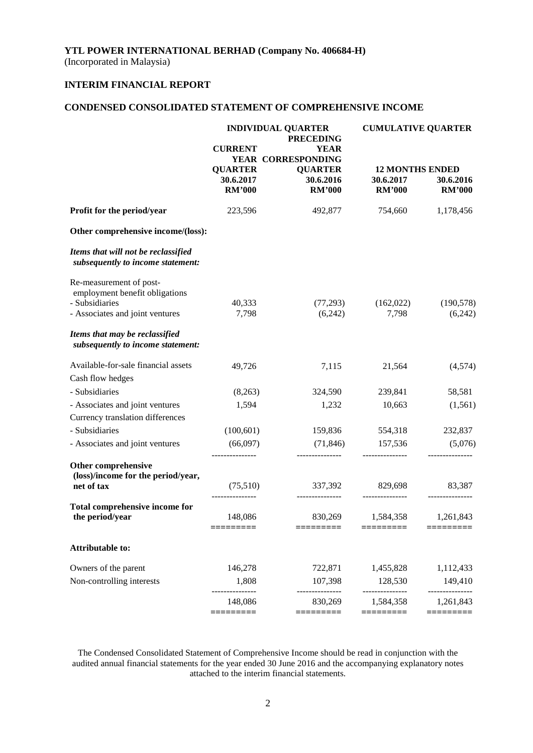(Incorporated in Malaysia)

# **INTERIM FINANCIAL REPORT**

# **CONDENSED CONSOLIDATED STATEMENT OF COMPREHENSIVE INCOME**

|                                                                          |                                              | <b>INDIVIDUAL QUARTER</b><br><b>PRECEDING</b> | <b>CUMULATIVE QUARTER</b>                            |                            |  |
|--------------------------------------------------------------------------|----------------------------------------------|-----------------------------------------------|------------------------------------------------------|----------------------------|--|
|                                                                          | <b>CURRENT</b>                               | <b>YEAR</b>                                   |                                                      |                            |  |
|                                                                          |                                              | YEAR CORRESPONDING                            |                                                      |                            |  |
|                                                                          | <b>QUARTER</b><br>30.6.2017<br><b>RM'000</b> | <b>QUARTER</b><br>30.6.2016<br><b>RM'000</b>  | <b>12 MONTHS ENDED</b><br>30.6.2017<br><b>RM'000</b> | 30.6.2016<br><b>RM'000</b> |  |
| Profit for the period/year                                               | 223,596                                      | 492,877                                       | 754,660                                              | 1,178,456                  |  |
| Other comprehensive income/(loss):                                       |                                              |                                               |                                                      |                            |  |
| Items that will not be reclassified<br>subsequently to income statement: |                                              |                                               |                                                      |                            |  |
| Re-measurement of post-<br>employment benefit obligations                |                                              |                                               |                                                      |                            |  |
| - Subsidiaries                                                           | 40,333                                       | (77,293)                                      | (162,022)                                            | (190, 578)                 |  |
| - Associates and joint ventures                                          | 7,798                                        | (6,242)                                       | 7,798                                                | (6,242)                    |  |
| Items that may be reclassified<br>subsequently to income statement:      |                                              |                                               |                                                      |                            |  |
| Available-for-sale financial assets                                      | 49,726                                       | 7,115                                         | 21,564                                               | (4,574)                    |  |
| Cash flow hedges                                                         |                                              |                                               |                                                      |                            |  |
| - Subsidiaries                                                           | (8,263)                                      | 324,590                                       | 239,841                                              | 58,581                     |  |
| - Associates and joint ventures                                          | 1,594                                        | 1,232                                         | 10,663                                               | (1, 561)                   |  |
| Currency translation differences                                         |                                              |                                               |                                                      |                            |  |
| - Subsidiaries                                                           | (100, 601)                                   | 159,836                                       | 554,318                                              | 232,837                    |  |
| - Associates and joint ventures                                          | (66,097)                                     | (71, 846)                                     | 157,536                                              | (5,076)                    |  |
| Other comprehensive<br>(loss)/income for the period/year,                |                                              |                                               |                                                      | -------------              |  |
| net of tax                                                               | (75,510)                                     |                                               | 337,392 829,698                                      | 83,387                     |  |
| Total comprehensive income for                                           | ---------------                              | ---------------                               | ---------------                                      | ---------------            |  |
| the period/year                                                          | 148,086<br>=========                         | 830,269<br>=========                          | 1,584,358<br>=========                               | 1,261,843<br>=========     |  |
| <b>Attributable to:</b>                                                  |                                              |                                               |                                                      |                            |  |
| Owners of the parent                                                     | 146,278                                      | 722,871                                       | 1,455,828                                            | 1,112,433                  |  |
| Non-controlling interests                                                | 1,808                                        | 107,398                                       | 128,530                                              | 149,410                    |  |
|                                                                          | 148,086                                      | 830,269                                       | --------------<br>1,584,358                          | -----------<br>1,261,843   |  |
|                                                                          | =========                                    | =========                                     | =========                                            | =========                  |  |

The Condensed Consolidated Statement of Comprehensive Income should be read in conjunction with the audited annual financial statements for the year ended 30 June 2016 and the accompanying explanatory notes attached to the interim financial statements.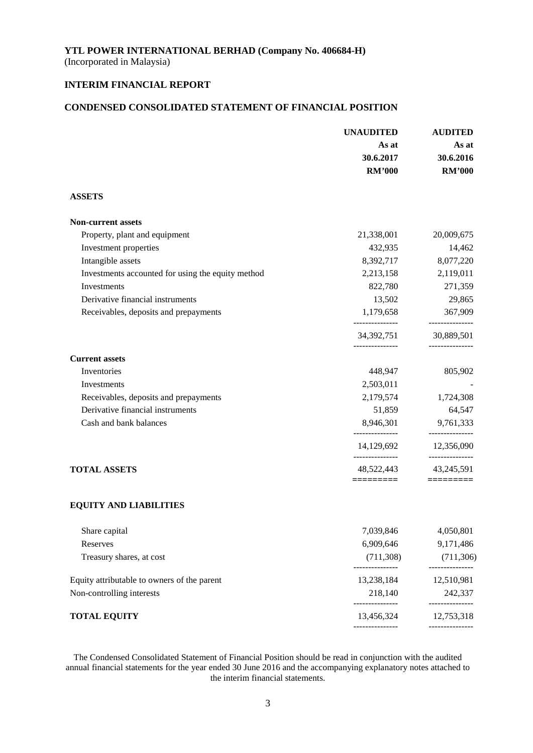(Incorporated in Malaysia)

# **INTERIM FINANCIAL REPORT**

# **CONDENSED CONSOLIDATED STATEMENT OF FINANCIAL POSITION**

|                                                   | <b>UNAUDITED</b>              | <b>AUDITED</b><br>As at<br>30.6.2016 |  |
|---------------------------------------------------|-------------------------------|--------------------------------------|--|
|                                                   | As at                         |                                      |  |
|                                                   | 30.6.2017                     |                                      |  |
|                                                   | <b>RM'000</b>                 | <b>RM'000</b>                        |  |
| <b>ASSETS</b>                                     |                               |                                      |  |
| <b>Non-current assets</b>                         |                               |                                      |  |
| Property, plant and equipment                     | 21,338,001                    | 20,009,675                           |  |
| Investment properties                             | 432,935                       | 14,462                               |  |
| Intangible assets                                 | 8,392,717                     | 8,077,220                            |  |
| Investments accounted for using the equity method | 2,213,158                     | 2,119,011                            |  |
| Investments                                       | 822,780                       | 271,359                              |  |
| Derivative financial instruments                  | 13,502                        | 29,865                               |  |
| Receivables, deposits and prepayments             | 1,179,658                     | 367,909<br>-------------             |  |
|                                                   | 34, 392, 751                  | 30,889,501                           |  |
| <b>Current assets</b>                             |                               |                                      |  |
| Inventories                                       | 448,947                       | 805,902                              |  |
| Investments                                       | 2,503,011                     |                                      |  |
| Receivables, deposits and prepayments             | 2,179,574                     | 1,724,308                            |  |
| Derivative financial instruments                  | 51,859                        | 64,547                               |  |
| Cash and bank balances                            | 8,946,301<br>---------------  | 9,761,333<br>-------------           |  |
|                                                   | 14,129,692<br>--------------- | 12,356,090<br>---------------        |  |
| <b>TOTAL ASSETS</b>                               | 48,522,443                    | 43,245,591                           |  |
| <b>EQUITY AND LIABILITIES</b>                     | =========                     | $=$ ========                         |  |
| Share capital                                     | 7,039,846                     | 4,050,801                            |  |
| Reserves                                          | 6,909,646                     | 9,171,486                            |  |
| Treasury shares, at cost                          | (711,308)                     | (711, 306)                           |  |
|                                                   | ---------------               | ---------------                      |  |
| Equity attributable to owners of the parent       | 13,238,184                    | 12,510,981                           |  |
| Non-controlling interests                         | 218,140<br>______________     | 242,337<br>---------------           |  |
| <b>TOTAL EQUITY</b>                               | 13,456,324                    | 12,753,318                           |  |
|                                                   | ---------------               | ---------------                      |  |

The Condensed Consolidated Statement of Financial Position should be read in conjunction with the audited annual financial statements for the year ended 30 June 2016 and the accompanying explanatory notes attached to the interim financial statements.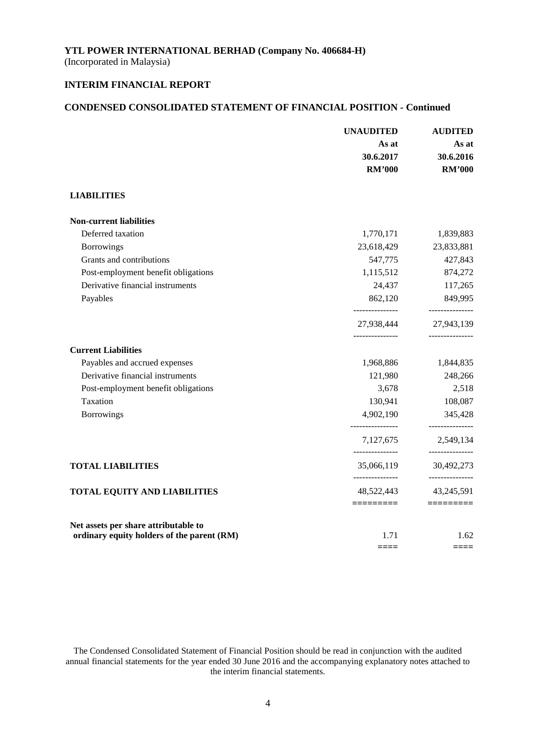(Incorporated in Malaysia)

# **INTERIM FINANCIAL REPORT**

# **CONDENSED CONSOLIDATED STATEMENT OF FINANCIAL POSITION - Continued**

|                                            | <b>UNAUDITED</b><br>As at<br>30.6.2017<br><b>RM'000</b> | <b>AUDITED</b><br>As at<br>30.6.2016<br><b>RM'000</b> |
|--------------------------------------------|---------------------------------------------------------|-------------------------------------------------------|
| <b>LIABILITIES</b>                         |                                                         |                                                       |
| <b>Non-current liabilities</b>             |                                                         |                                                       |
| Deferred taxation                          | 1,770,171                                               | 1,839,883                                             |
| Borrowings                                 | 23,618,429                                              | 23,833,881                                            |
| Grants and contributions                   | 547,775                                                 | 427,843                                               |
| Post-employment benefit obligations        | 1,115,512                                               | 874,272                                               |
| Derivative financial instruments           | 24,437                                                  | 117,265                                               |
| Payables                                   | 862,120                                                 | 849,995                                               |
|                                            | ---------------<br>27,938,444<br>---------------        | ---------------<br>27,943,139<br>---------------      |
| <b>Current Liabilities</b>                 |                                                         |                                                       |
| Payables and accrued expenses              | 1,968,886                                               | 1,844,835                                             |
| Derivative financial instruments           | 121,980                                                 | 248,266                                               |
| Post-employment benefit obligations        | 3,678                                                   | 2,518                                                 |
| Taxation                                   | 130,941                                                 | 108,087                                               |
| <b>Borrowings</b>                          | 4,902,190                                               | 345,428                                               |
|                                            | 7,127,675<br>_______________                            | 2,549,134<br>---------------                          |
| <b>TOTAL LIABILITIES</b>                   | 35,066,119                                              | 30,492,273<br>---------------                         |
| <b>TOTAL EQUITY AND LIABILITIES</b>        | 48,522,443<br>=========                                 | 43,245,591<br>$=$ ========                            |
| Net assets per share attributable to       |                                                         |                                                       |
| ordinary equity holders of the parent (RM) | 1.71                                                    | 1.62<br>====                                          |

The Condensed Consolidated Statement of Financial Position should be read in conjunction with the audited annual financial statements for the year ended 30 June 2016 and the accompanying explanatory notes attached to the interim financial statements.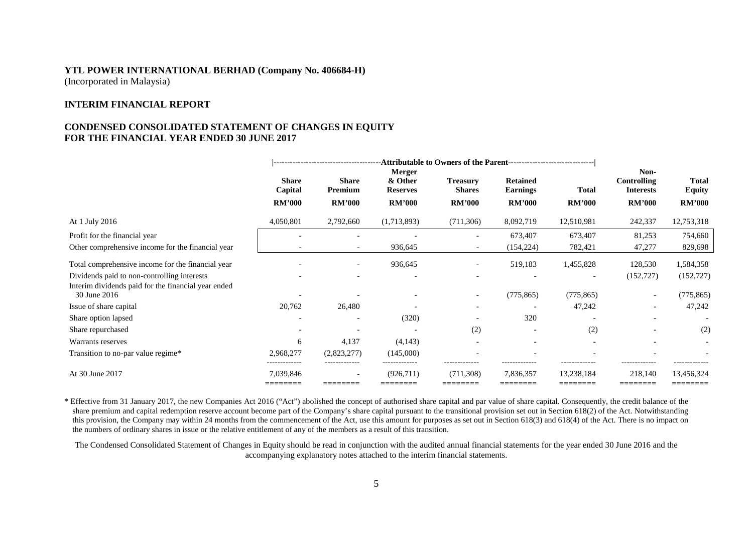#### **INTERIM FINANCIAL REPORT**

### **CONDENSED CONSOLIDATED STATEMENT OF CHANGES IN EQUITY FOR THE FINANCIAL YEAR ENDED 30 JUNE 2017**

|                                                                     | <b>Share</b><br>Capital  | <b>Share</b><br>Premium | Merger<br>& Other<br><b>Reserves</b> | <b>Treasury</b><br><b>Shares</b> | <b>Retained</b><br><b>Earnings</b> | <b>Total</b>             | Non-<br><b>Controlling</b><br><b>Interests</b> | <b>Total</b><br><b>Equity</b> |
|---------------------------------------------------------------------|--------------------------|-------------------------|--------------------------------------|----------------------------------|------------------------------------|--------------------------|------------------------------------------------|-------------------------------|
|                                                                     | <b>RM'000</b>            | <b>RM'000</b>           | <b>RM'000</b>                        | <b>RM'000</b>                    | <b>RM'000</b>                      | <b>RM'000</b>            | <b>RM'000</b>                                  | <b>RM'000</b>                 |
| At 1 July 2016                                                      | 4,050,801                | 2,792,660               | (1,713,893)                          | (711, 306)                       | 8,092,719                          | 12,510,981               | 242,337                                        | 12,753,318                    |
| Profit for the financial year                                       |                          |                         |                                      |                                  | 673,407                            | 673,407                  | 81,253                                         | 754,660                       |
| Other comprehensive income for the financial year                   |                          |                         | 936,645                              | $\overline{\phantom{a}}$         | (154, 224)                         | 782,421                  | 47,277                                         | 829,698                       |
| Total comprehensive income for the financial year                   |                          |                         | 936,645                              | $\overline{\phantom{a}}$         | 519,183                            | 1,455,828                | 128,530                                        | 1,584,358                     |
| Dividends paid to non-controlling interests                         |                          |                         |                                      |                                  |                                    | $\overline{\phantom{a}}$ | (152, 727)                                     | (152, 727)                    |
| Interim dividends paid for the financial year ended<br>30 June 2016 |                          |                         |                                      | $\overline{\phantom{a}}$         | (775, 865)                         | (775, 865)               | $\overline{\phantom{a}}$                       | (775, 865)                    |
| Issue of share capital                                              | 20,762                   | 26,480                  |                                      | $\overline{\phantom{0}}$         | $\overline{\phantom{0}}$           | 47,242                   | $\overline{\phantom{0}}$                       | 47,242                        |
| Share option lapsed                                                 | $\overline{\phantom{a}}$ |                         | (320)                                |                                  | 320                                |                          |                                                | $\overline{\phantom{a}}$      |
| Share repurchased                                                   |                          |                         | $\overline{\phantom{a}}$             | (2)                              |                                    | (2)                      |                                                | (2)                           |
| Warrants reserves                                                   | 6                        | 4,137                   | (4,143)                              |                                  | ۰                                  |                          |                                                |                               |
| Transition to no-par value regime*                                  | 2,968,277                | (2,823,277)             | (145,000)<br>-------------           | -------------                    | -------------                      | -------------            |                                                |                               |
| At 30 June 2017                                                     | 7,039,846<br>========    | ---------               | (926,711)                            | (711, 308)                       | 7,836,357                          | 13,238,184               | 218,140                                        | 13,456,324                    |

\* Effective from 31 January 2017, the new Companies Act 2016 ("Act") abolished the concept of authorised share capital and par value of share capital. Consequently, the credit balance of the share premium and capital redemption reserve account become part of the Company's share capital pursuant to the transitional provision set out in Section 618(2) of the Act. Notwithstanding this provision, the Company may within 24 months from the commencement of the Act, use this amount for purposes as set out in Section 618(3) and 618(4) of the Act. There is no impact on the numbers of ordinary shares in issue or the relative entitlement of any of the members as a result of this transition.

The Condensed Consolidated Statement of Changes in Equity should be read in conjunction with the audited annual financial statements for the year ended 30 June 2016 and the accompanying explanatory notes attached to the interim financial statements.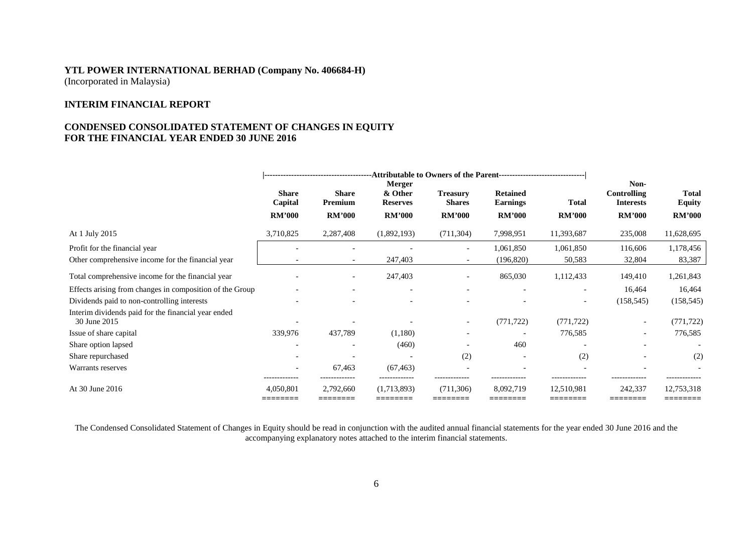# **INTERIM FINANCIAL REPORT**

# **CONDENSED CONSOLIDATED STATEMENT OF CHANGES IN EQUITY FOR THE FINANCIAL YEAR ENDED 30 JUNE 2016**

|                                                                     | <b>Share</b><br>Capital | <b>Share</b><br>Premium  | <b>Merger</b><br>& Other<br><b>Reserves</b> | <b>Treasury</b><br><b>Shares</b> | <b>Retained</b><br><b>Earnings</b> | <b>Total</b>  | Non-<br>Controlling<br><b>Interests</b> | <b>Total</b><br><b>Equity</b> |
|---------------------------------------------------------------------|-------------------------|--------------------------|---------------------------------------------|----------------------------------|------------------------------------|---------------|-----------------------------------------|-------------------------------|
|                                                                     | <b>RM'000</b>           | <b>RM'000</b>            | <b>RM'000</b>                               | <b>RM'000</b>                    | <b>RM'000</b>                      | <b>RM'000</b> | <b>RM'000</b>                           | <b>RM'000</b>                 |
| At 1 July 2015                                                      | 3,710,825               | 2,287,408                | (1,892,193)                                 | (711, 304)                       | 7,998,951                          | 11,393,687    | 235,008                                 | 11,628,695                    |
| Profit for the financial year                                       |                         |                          |                                             |                                  | 1,061,850                          | 1,061,850     | 116,606                                 | 1,178,456                     |
| Other comprehensive income for the financial year                   |                         | $\overline{\phantom{a}}$ | 247,403                                     |                                  | (196, 820)                         | 50,583        | 32,804                                  | 83,387                        |
| Total comprehensive income for the financial year                   |                         | $\overline{\phantom{a}}$ | 247,403                                     |                                  | 865,030                            | 1,112,433     | 149,410                                 | 1,261,843                     |
| Effects arising from changes in composition of the Group            |                         | $\overline{\phantom{a}}$ | $\overline{\phantom{a}}$                    |                                  |                                    |               | 16,464                                  | 16,464                        |
| Dividends paid to non-controlling interests                         |                         |                          | $\overline{\phantom{a}}$                    |                                  |                                    |               | (158, 545)                              | (158, 545)                    |
| Interim dividends paid for the financial year ended<br>30 June 2015 |                         |                          |                                             |                                  | (771, 722)                         | (771, 722)    |                                         | (771, 722)                    |
| Issue of share capital                                              | 339,976                 | 437,789                  | (1,180)                                     |                                  |                                    | 776,585       |                                         | 776,585                       |
| Share option lapsed                                                 |                         | $\overline{\phantom{0}}$ | (460)                                       |                                  | 460                                |               |                                         |                               |
| Share repurchased                                                   |                         |                          | $\overline{\phantom{a}}$                    | (2)                              |                                    | (2)           |                                         | (2)                           |
| Warrants reserves                                                   | -------------           | 67,463                   | (67, 463)<br>                               | -------------                    | -------------                      | ------------- | -------------                           | -------------                 |
| At 30 June 2016                                                     | 4,050,801<br>---------  | 2,792,660                | (1,713,893)                                 | (711, 306)                       | 8,092,719                          | 12,510,981    | 242,337                                 | 12,753,318                    |

The Condensed Consolidated Statement of Changes in Equity should be read in conjunction with the audited annual financial statements for the year ended 30 June 2016 and the accompanying explanatory notes attached to the interim financial statements.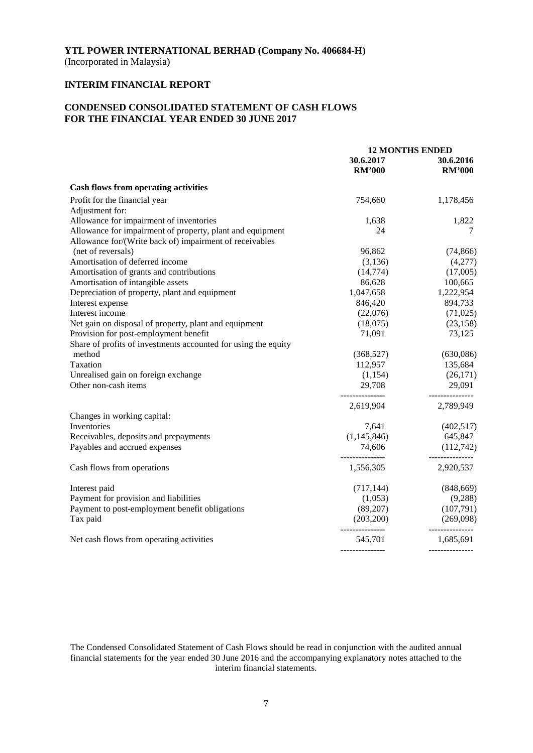(Incorporated in Malaysia)

# **INTERIM FINANCIAL REPORT**

# **CONDENSED CONSOLIDATED STATEMENT OF CASH FLOWS FOR THE FINANCIAL YEAR ENDED 30 JUNE 2017**

|                                                                | <b>12 MONTHS ENDED</b>       |                              |
|----------------------------------------------------------------|------------------------------|------------------------------|
|                                                                | 30.6.2017<br><b>RM'000</b>   | 30.6.2016<br><b>RM'000</b>   |
| <b>Cash flows from operating activities</b>                    |                              |                              |
| Profit for the financial year                                  | 754,660                      | 1,178,456                    |
| Adjustment for:                                                |                              |                              |
| Allowance for impairment of inventories                        | 1,638                        | 1,822                        |
| Allowance for impairment of property, plant and equipment      | 24                           | 7                            |
| Allowance for/(Write back of) impairment of receivables        |                              |                              |
| (net of reversals)                                             | 96,862                       | (74, 866)                    |
| Amortisation of deferred income                                | (3,136)                      | (4,277)                      |
| Amortisation of grants and contributions                       | (14, 774)                    | (17,005)                     |
| Amortisation of intangible assets                              | 86,628                       | 100,665                      |
| Depreciation of property, plant and equipment                  | 1,047,658                    | 1,222,954                    |
| Interest expense                                               | 846,420                      | 894,733                      |
| Interest income                                                | (22,076)                     | (71, 025)                    |
| Net gain on disposal of property, plant and equipment          | (18,075)                     | (23, 158)                    |
| Provision for post-employment benefit                          | 71,091                       | 73,125                       |
| Share of profits of investments accounted for using the equity |                              |                              |
| method                                                         | (368, 527)                   | (630,086)                    |
| Taxation                                                       | 112,957                      | 135,684                      |
| Unrealised gain on foreign exchange                            | (1,154)                      | (26,171)                     |
| Other non-cash items                                           | 29,708                       | 29,091                       |
|                                                                | ---------------<br>2,619,904 | ---------------<br>2,789,949 |
| Changes in working capital:                                    |                              |                              |
| Inventories                                                    | 7,641                        | (402,517)                    |
| Receivables, deposits and prepayments                          | (1,145,846)                  | 645,847                      |
| Payables and accrued expenses                                  | 74,606                       | (112, 742)                   |
| Cash flows from operations                                     | 1,556,305                    | 2,920,537                    |
| Interest paid                                                  | (717, 144)                   | (848, 669)                   |
| Payment for provision and liabilities                          | (1,053)                      | (9,288)                      |
| Payment to post-employment benefit obligations                 | (89,207)                     | (107,791)                    |
| Tax paid                                                       | (203,200)                    | (269,098)                    |
| Net cash flows from operating activities                       | ---------------<br>545,701   | ---------------<br>1,685,691 |
|                                                                |                              |                              |

The Condensed Consolidated Statement of Cash Flows should be read in conjunction with the audited annual financial statements for the year ended 30 June 2016 and the accompanying explanatory notes attached to the interim financial statements.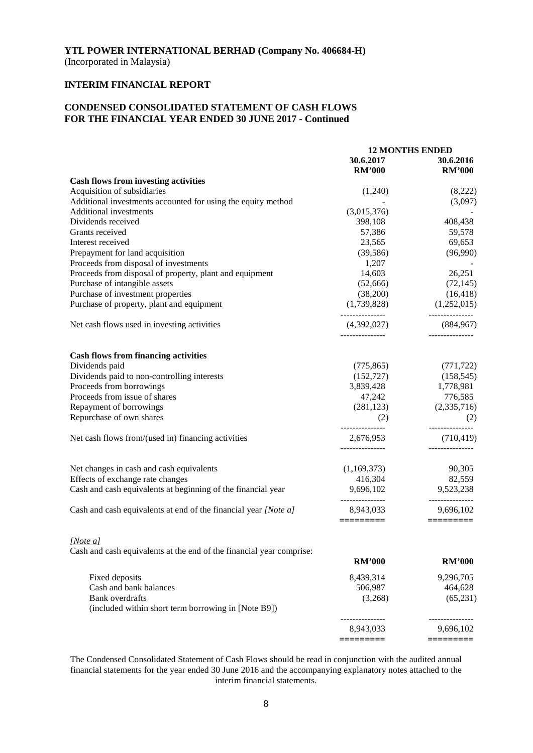# **INTERIM FINANCIAL REPORT**

# **CONDENSED CONSOLIDATED STATEMENT OF CASH FLOWS FOR THE FINANCIAL YEAR ENDED 30 JUNE 2017 - Continued**

|                                                                      | <b>12 MONTHS ENDED</b>       |                              |
|----------------------------------------------------------------------|------------------------------|------------------------------|
|                                                                      | 30.6.2017                    | 30.6.2016                    |
|                                                                      | <b>RM'000</b>                | <b>RM'000</b>                |
| <b>Cash flows from investing activities</b>                          |                              |                              |
| Acquisition of subsidiaries                                          | (1,240)                      | (8,222)                      |
| Additional investments accounted for using the equity method         |                              | (3,097)                      |
| <b>Additional investments</b>                                        | (3,015,376)                  |                              |
| Dividends received                                                   | 398,108                      | 408,438                      |
| Grants received                                                      | 57,386                       | 59,578                       |
| Interest received                                                    | 23,565                       | 69,653                       |
| Prepayment for land acquisition                                      | (39, 586)                    | (96,990)                     |
| Proceeds from disposal of investments                                | 1,207                        |                              |
| Proceeds from disposal of property, plant and equipment              | 14,603                       | 26,251                       |
| Purchase of intangible assets                                        | (52,666)                     | (72, 145)                    |
| Purchase of investment properties                                    | (38,200)                     | (16, 418)                    |
| Purchase of property, plant and equipment                            | (1,739,828)                  | (1,252,015)                  |
|                                                                      | ---------------              | -------------                |
| Net cash flows used in investing activities                          | (4,392,027)                  | (884, 967)                   |
|                                                                      |                              |                              |
| <b>Cash flows from financing activities</b>                          |                              |                              |
| Dividends paid                                                       | (775, 865)                   | (771, 722)                   |
| Dividends paid to non-controlling interests                          | (152, 727)                   | (158, 545)                   |
| Proceeds from borrowings                                             | 3,839,428                    | 1,778,981                    |
| Proceeds from issue of shares                                        | 47,242                       | 776,585                      |
| Repayment of borrowings                                              | (281, 123)                   | (2,335,716)                  |
| Repurchase of own shares                                             | (2)                          | (2)                          |
| Net cash flows from/(used in) financing activities                   | 2,676,953                    | (710, 419)                   |
|                                                                      | ---------------              |                              |
| Net changes in cash and cash equivalents                             | (1,169,373)                  | 90,305                       |
| Effects of exchange rate changes                                     | 416,304                      | 82,559                       |
| Cash and cash equivalents at beginning of the financial year         | 9,696,102                    | 9,523,238                    |
| Cash and cash equivalents at end of the financial year [Note a]      | ---------------<br>8,943,033 | ---------------<br>9,696,102 |
|                                                                      | $=$ ========                 | $=$ ========                 |
| [Note a]                                                             |                              |                              |
| Cash and cash equivalents at the end of the financial year comprise: |                              |                              |
|                                                                      | <b>RM'000</b>                | <b>RM'000</b>                |
| Fixed deposits                                                       | 8,439,314                    | 9,296,705                    |
| Cash and bank balances                                               | 506,987                      | 464,628                      |
| <b>Bank</b> overdrafts                                               | (3,268)                      | (65, 231)                    |
| (included within short term borrowing in [Note B9])                  |                              |                              |
|                                                                      | 8,943,033                    | 9,696,102                    |
|                                                                      | =========                    | =========                    |

The Condensed Consolidated Statement of Cash Flows should be read in conjunction with the audited annual financial statements for the year ended 30 June 2016 and the accompanying explanatory notes attached to the interim financial statements.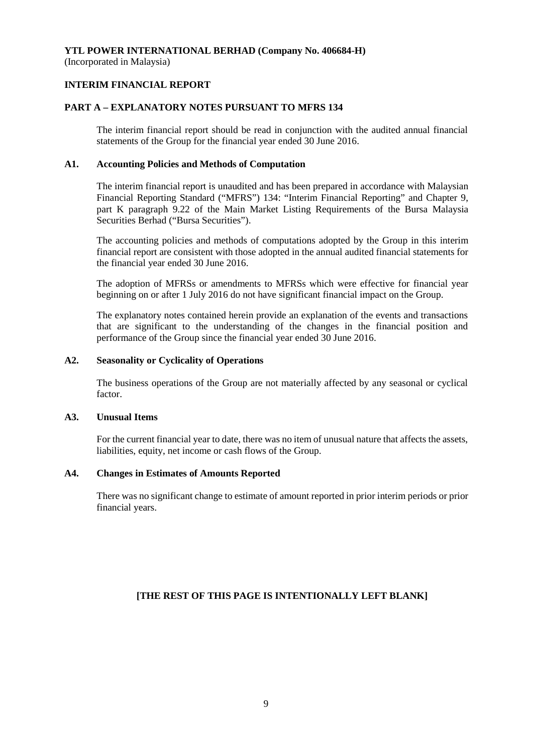(Incorporated in Malaysia)

# **INTERIM FINANCIAL REPORT**

# **PART A – EXPLANATORY NOTES PURSUANT TO MFRS 134**

The interim financial report should be read in conjunction with the audited annual financial statements of the Group for the financial year ended 30 June 2016.

# **A1. Accounting Policies and Methods of Computation**

The interim financial report is unaudited and has been prepared in accordance with Malaysian Financial Reporting Standard ("MFRS") 134: "Interim Financial Reporting" and Chapter 9, part K paragraph 9.22 of the Main Market Listing Requirements of the Bursa Malaysia Securities Berhad ("Bursa Securities").

The accounting policies and methods of computations adopted by the Group in this interim financial report are consistent with those adopted in the annual audited financial statements for the financial year ended 30 June 2016.

The adoption of MFRSs or amendments to MFRSs which were effective for financial year beginning on or after 1 July 2016 do not have significant financial impact on the Group.

The explanatory notes contained herein provide an explanation of the events and transactions that are significant to the understanding of the changes in the financial position and performance of the Group since the financial year ended 30 June 2016.

## **A2. Seasonality or Cyclicality of Operations**

The business operations of the Group are not materially affected by any seasonal or cyclical factor.

## **A3. Unusual Items**

For the current financial year to date, there was no item of unusual nature that affects the assets, liabilities, equity, net income or cash flows of the Group.

## **A4. Changes in Estimates of Amounts Reported**

There was no significant change to estimate of amount reported in prior interim periods or prior financial years.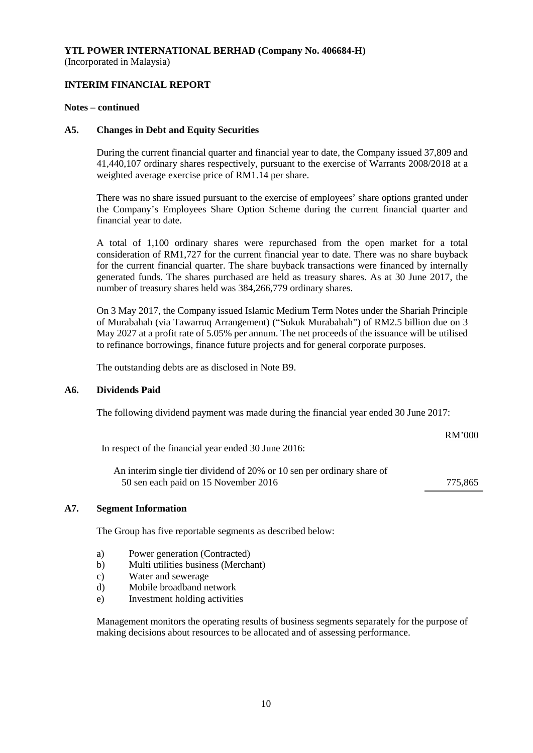# **INTERIM FINANCIAL REPORT**

#### **Notes – continued**

#### **A5. Changes in Debt and Equity Securities**

During the current financial quarter and financial year to date, the Company issued 37,809 and 41,440,107 ordinary shares respectively, pursuant to the exercise of Warrants 2008/2018 at a weighted average exercise price of RM1.14 per share.

There was no share issued pursuant to the exercise of employees' share options granted under the Company's Employees Share Option Scheme during the current financial quarter and financial year to date.

A total of 1,100 ordinary shares were repurchased from the open market for a total consideration of RM1,727 for the current financial year to date. There was no share buyback for the current financial quarter. The share buyback transactions were financed by internally generated funds. The shares purchased are held as treasury shares. As at 30 June 2017, the number of treasury shares held was 384,266,779 ordinary shares.

On 3 May 2017, the Company issued Islamic Medium Term Notes under the Shariah Principle of Murabahah (via Tawarruq Arrangement) ("Sukuk Murabahah") of RM2.5 billion due on 3 May 2027 at a profit rate of 5.05% per annum. The net proceeds of the issuance will be utilised to refinance borrowings, finance future projects and for general corporate purposes.

The outstanding debts are as disclosed in Note B9.

#### **A6. Dividends Paid**

The following dividend payment was made during the financial year ended 30 June 2017:

#### RM'000

In respect of the financial year ended 30 June 2016:

An interim single tier dividend of 20% or 10 sen per ordinary share of 50 sen each paid on 15 November 2016 775,865

# **A7. Segment Information**

The Group has five reportable segments as described below:

- a) Power generation (Contracted)
- b) Multi utilities business (Merchant)
- c) Water and sewerage
- d) Mobile broadband network
- e) Investment holding activities

Management monitors the operating results of business segments separately for the purpose of making decisions about resources to be allocated and of assessing performance.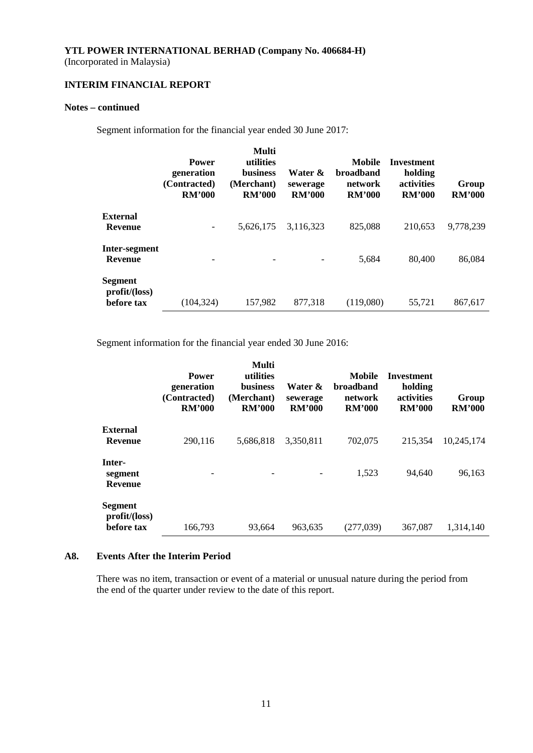(Incorporated in Malaysia)

# **INTERIM FINANCIAL REPORT**

# **Notes – continued**

Segment information for the financial year ended 30 June 2017:

|                                       | <b>Power</b><br>generation<br>(Contracted)<br><b>RM'000</b> | Multi<br>utilities<br><b>business</b><br>(Merchant)<br><b>RM'000</b> | Water &<br>sewerage<br><b>RM'000</b> | Mobile<br><b>broadband</b><br>network<br><b>RM'000</b> | <b>Investment</b><br>holding<br>activities<br><b>RM'000</b> | Group<br><b>RM'000</b> |
|---------------------------------------|-------------------------------------------------------------|----------------------------------------------------------------------|--------------------------------------|--------------------------------------------------------|-------------------------------------------------------------|------------------------|
| <b>External</b><br>Revenue            |                                                             | 5,626,175                                                            | 3,116,323                            | 825,088                                                | 210.653                                                     | 9,778,239              |
| Inter-segment<br><b>Revenue</b>       |                                                             |                                                                      |                                      | 5,684                                                  | 80,400                                                      | 86,084                 |
| Segment<br>profit/loss)<br>before tax | (104, 324)                                                  | 157,982                                                              | 877,318                              | (119,080)                                              | 55,721                                                      | 867,617                |

Segment information for the financial year ended 30 June 2016:

|                                       | <b>Power</b><br>generation<br>(Contracted)<br><b>RM'000</b> | Multi<br>utilities<br><b>business</b><br>(Merchant)<br><b>RM'000</b> | Water &<br>sewerage<br><b>RM'000</b> | Mobile<br><b>broadband</b><br>network<br><b>RM'000</b> | Investment<br>holding<br>activities<br><b>RM'000</b> | Group<br><b>RM'000</b> |
|---------------------------------------|-------------------------------------------------------------|----------------------------------------------------------------------|--------------------------------------|--------------------------------------------------------|------------------------------------------------------|------------------------|
| External<br><b>Revenue</b>            | 290,116                                                     | 5,686,818                                                            | 3,350,811                            | 702,075                                                | 215.354                                              | 10,245,174             |
| Inter-<br>segment<br><b>Revenue</b>   |                                                             |                                                                      |                                      | 1,523                                                  | 94.640                                               | 96,163                 |
| Segment<br>profit/loss)<br>before tax | 166,793                                                     | 93,664                                                               | 963,635                              | (277,039)                                              | 367,087                                              | 1,314,140              |

# **A8. Events After the Interim Period**

There was no item, transaction or event of a material or unusual nature during the period from the end of the quarter under review to the date of this report.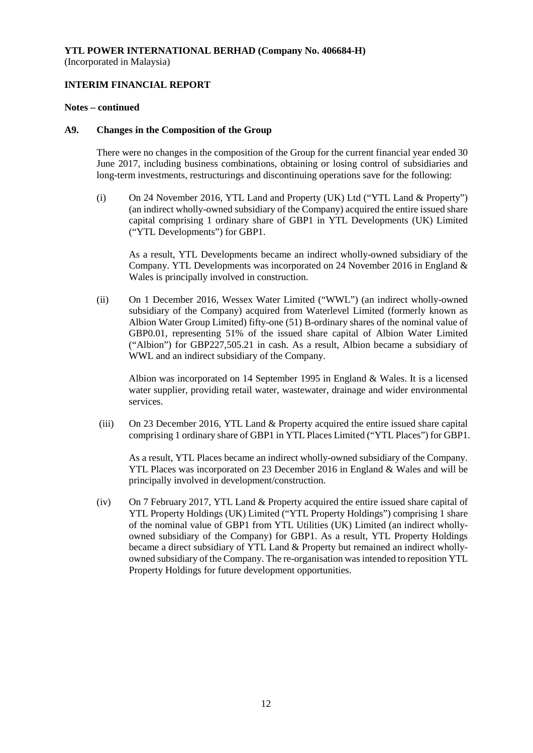# **INTERIM FINANCIAL REPORT**

#### **Notes – continued**

#### **A9. Changes in the Composition of the Group**

There were no changes in the composition of the Group for the current financial year ended 30 June 2017, including business combinations, obtaining or losing control of subsidiaries and long-term investments, restructurings and discontinuing operations save for the following:

(i) On 24 November 2016, YTL Land and Property (UK) Ltd ("YTL Land & Property") (an indirect wholly-owned subsidiary of the Company) acquired the entire issued share capital comprising 1 ordinary share of GBP1 in YTL Developments (UK) Limited ("YTL Developments") for GBP1.

As a result, YTL Developments became an indirect wholly-owned subsidiary of the Company. YTL Developments was incorporated on 24 November 2016 in England & Wales is principally involved in construction.

(ii) On 1 December 2016, Wessex Water Limited ("WWL") (an indirect wholly-owned subsidiary of the Company) acquired from Waterlevel Limited (formerly known as Albion Water Group Limited) fifty-one (51) B-ordinary shares of the nominal value of GBP0.01, representing 51% of the issued share capital of Albion Water Limited ("Albion") for GBP227,505.21 in cash. As a result, Albion became a subsidiary of WWL and an indirect subsidiary of the Company.

Albion was incorporated on 14 September 1995 in England & Wales. It is a licensed water supplier, providing retail water, wastewater, drainage and wider environmental services.

(iii) On 23 December 2016, YTL Land & Property acquired the entire issued share capital comprising 1 ordinary share of GBP1 in YTL Places Limited ("YTL Places") for GBP1.

As a result, YTL Places became an indirect wholly-owned subsidiary of the Company. YTL Places was incorporated on 23 December 2016 in England & Wales and will be principally involved in development/construction.

(iv) On 7 February 2017, YTL Land & Property acquired the entire issued share capital of YTL Property Holdings (UK) Limited ("YTL Property Holdings") comprising 1 share of the nominal value of GBP1 from YTL Utilities (UK) Limited (an indirect whollyowned subsidiary of the Company) for GBP1. As a result, YTL Property Holdings became a direct subsidiary of YTL Land & Property but remained an indirect whollyowned subsidiary of the Company. The re-organisation was intended to reposition YTL Property Holdings for future development opportunities.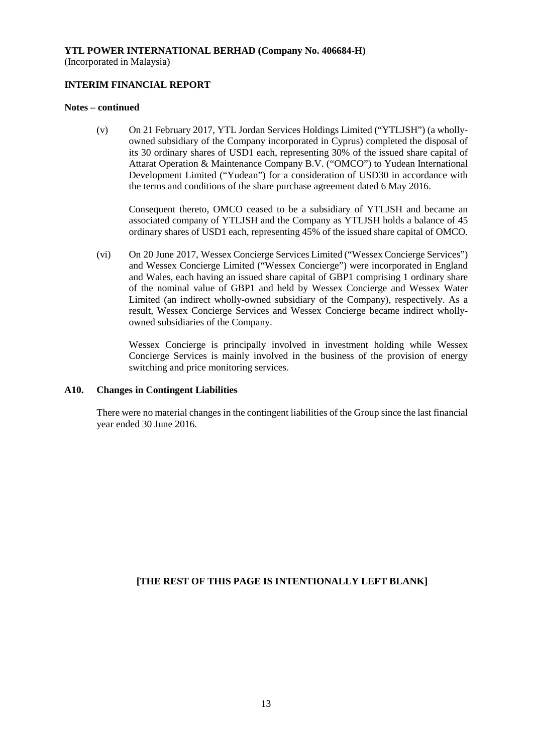(Incorporated in Malaysia)

# **INTERIM FINANCIAL REPORT**

### **Notes – continued**

(v) On 21 February 2017, YTL Jordan Services Holdings Limited ("YTLJSH") (a whollyowned subsidiary of the Company incorporated in Cyprus) completed the disposal of its 30 ordinary shares of USD1 each, representing 30% of the issued share capital of Attarat Operation & Maintenance Company B.V. ("OMCO") to Yudean International Development Limited ("Yudean") for a consideration of USD30 in accordance with the terms and conditions of the share purchase agreement dated 6 May 2016.

Consequent thereto, OMCO ceased to be a subsidiary of YTLJSH and became an associated company of YTLJSH and the Company as YTLJSH holds a balance of 45 ordinary shares of USD1 each, representing 45% of the issued share capital of OMCO.

(vi) On 20 June 2017, Wessex Concierge Services Limited ("Wessex Concierge Services") and Wessex Concierge Limited ("Wessex Concierge") were incorporated in England and Wales, each having an issued share capital of GBP1 comprising 1 ordinary share of the nominal value of GBP1 and held by Wessex Concierge and Wessex Water Limited (an indirect wholly-owned subsidiary of the Company), respectively. As a result, Wessex Concierge Services and Wessex Concierge became indirect whollyowned subsidiaries of the Company.

Wessex Concierge is principally involved in investment holding while Wessex Concierge Services is mainly involved in the business of the provision of energy switching and price monitoring services.

# **A10. Changes in Contingent Liabilities**

There were no material changes in the contingent liabilities of the Group since the last financial year ended 30 June 2016.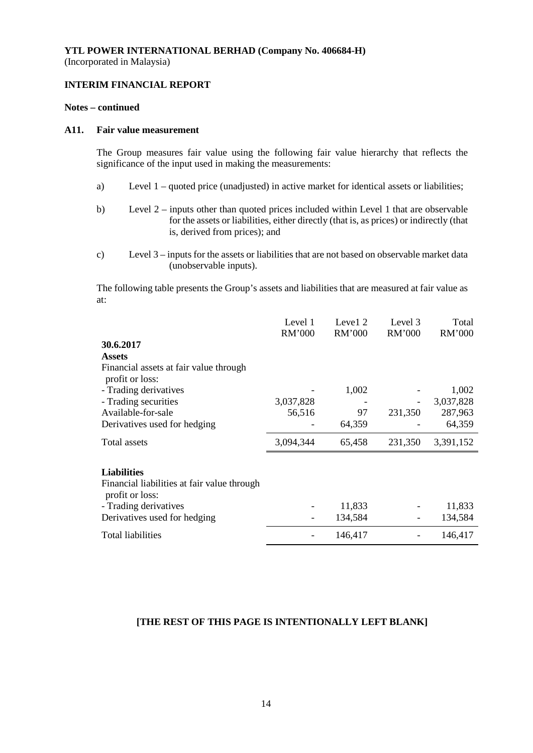# **INTERIM FINANCIAL REPORT**

#### **Notes – continued**

#### **A11. Fair value measurement**

The Group measures fair value using the following fair value hierarchy that reflects the significance of the input used in making the measurements:

- a) Level 1 quoted price (unadjusted) in active market for identical assets or liabilities;
- b) Level 2 inputs other than quoted prices included within Level 1 that are observable for the assets or liabilities, either directly (that is, as prices) or indirectly (that is, derived from prices); and
- c) Level 3 inputs for the assets or liabilities that are not based on observable market data (unobservable inputs).

The following table presents the Group's assets and liabilities that are measured at fair value as at:

|                                                                | Level 1<br>RM'000 | Level 2<br>RM'000 | Level 3<br>RM'000 | Total<br>RM'000 |
|----------------------------------------------------------------|-------------------|-------------------|-------------------|-----------------|
| 30.6.2017                                                      |                   |                   |                   |                 |
| <b>Assets</b>                                                  |                   |                   |                   |                 |
| Financial assets at fair value through<br>profit or loss:      |                   |                   |                   |                 |
| - Trading derivatives                                          |                   | 1,002             |                   | 1,002           |
| - Trading securities                                           | 3,037,828         |                   |                   | 3,037,828       |
| Available-for-sale                                             | 56,516            | 97                | 231,350           | 287,963         |
| Derivatives used for hedging                                   |                   | 64,359            |                   | 64,359          |
| Total assets                                                   | 3,094,344         | 65,458            | 231,350           | 3,391,152       |
|                                                                |                   |                   |                   |                 |
| <b>Liabilities</b>                                             |                   |                   |                   |                 |
| Financial liabilities at fair value through<br>profit or loss: |                   |                   |                   |                 |
| - Trading derivatives                                          |                   | 11,833            |                   | 11,833          |
| Derivatives used for hedging                                   |                   | 134,584           |                   | 134,584         |
| Total liabilities                                              |                   | 146,417           |                   | 146,417         |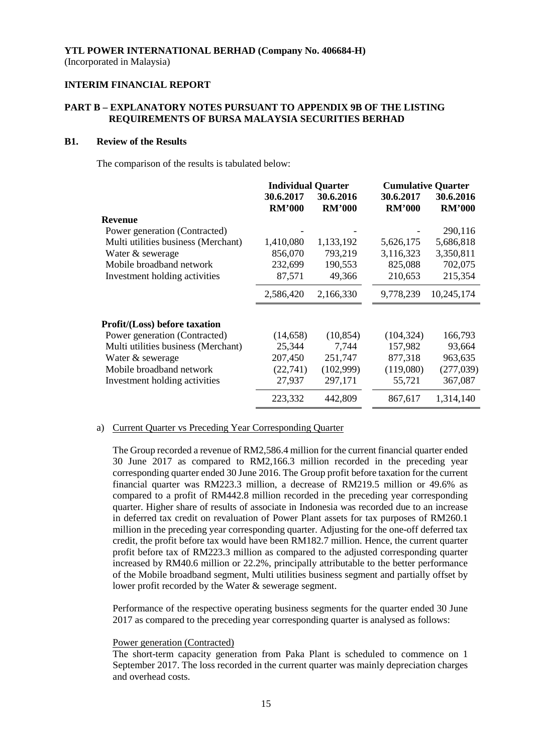# **INTERIM FINANCIAL REPORT**

# **PART B – EXPLANATORY NOTES PURSUANT TO APPENDIX 9B OF THE LISTING REQUIREMENTS OF BURSA MALAYSIA SECURITIES BERHAD**

### **B1. Review of the Results**

The comparison of the results is tabulated below:

|                                      | <b>Individual Quarter</b>  |                            | <b>Cumulative Quarter</b>  |                            |
|--------------------------------------|----------------------------|----------------------------|----------------------------|----------------------------|
|                                      | 30.6.2017<br><b>RM'000</b> | 30.6.2016<br><b>RM'000</b> | 30.6.2017<br><b>RM'000</b> | 30.6.2016<br><b>RM'000</b> |
| Revenue                              |                            |                            |                            |                            |
| Power generation (Contracted)        |                            |                            |                            | 290,116                    |
| Multi utilities business (Merchant)  | 1,410,080                  | 1,133,192                  | 5,626,175                  | 5,686,818                  |
| Water & sewerage                     | 856,070                    | 793,219                    | 3,116,323                  | 3,350,811                  |
| Mobile broadband network             | 232,699                    | 190,553                    | 825,088                    | 702,075                    |
| Investment holding activities        | 87,571                     | 49,366                     | 210,653                    | 215,354                    |
|                                      | 2,586,420                  | 2,166,330                  | 9,778,239                  | 10,245,174                 |
| <b>Profit/(Loss)</b> before taxation |                            |                            |                            |                            |
| Power generation (Contracted)        | (14, 658)                  | (10, 854)                  | (104, 324)                 | 166,793                    |
| Multi utilities business (Merchant)  | 25,344                     | 7,744                      | 157,982                    | 93,664                     |
| Water & sewerage                     | 207,450                    | 251,747                    | 877,318                    | 963,635                    |
| Mobile broadband network             | (22, 741)                  | (102,999)                  | (119,080)                  | (277, 039)                 |
| Investment holding activities        | 27,937                     | 297,171                    | 55,721                     | 367,087                    |
|                                      | 223,332                    | 442,809                    | 867,617                    | 1,314,140                  |

#### a) Current Quarter vs Preceding Year Corresponding Quarter

The Group recorded a revenue of RM2,586.4 million for the current financial quarter ended 30 June 2017 as compared to RM2,166.3 million recorded in the preceding year corresponding quarter ended 30 June 2016. The Group profit before taxation for the current financial quarter was RM223.3 million, a decrease of RM219.5 million or 49.6% as compared to a profit of RM442.8 million recorded in the preceding year corresponding quarter. Higher share of results of associate in Indonesia was recorded due to an increase in deferred tax credit on revaluation of Power Plant assets for tax purposes of RM260.1 million in the preceding year corresponding quarter. Adjusting for the one-off deferred tax credit, the profit before tax would have been RM182.7 million. Hence, the current quarter profit before tax of RM223.3 million as compared to the adjusted corresponding quarter increased by RM40.6 million or 22.2%, principally attributable to the better performance of the Mobile broadband segment, Multi utilities business segment and partially offset by lower profit recorded by the Water & sewerage segment.

Performance of the respective operating business segments for the quarter ended 30 June 2017 as compared to the preceding year corresponding quarter is analysed as follows:

#### Power generation (Contracted)

The short-term capacity generation from Paka Plant is scheduled to commence on 1 September 2017. The loss recorded in the current quarter was mainly depreciation charges and overhead costs.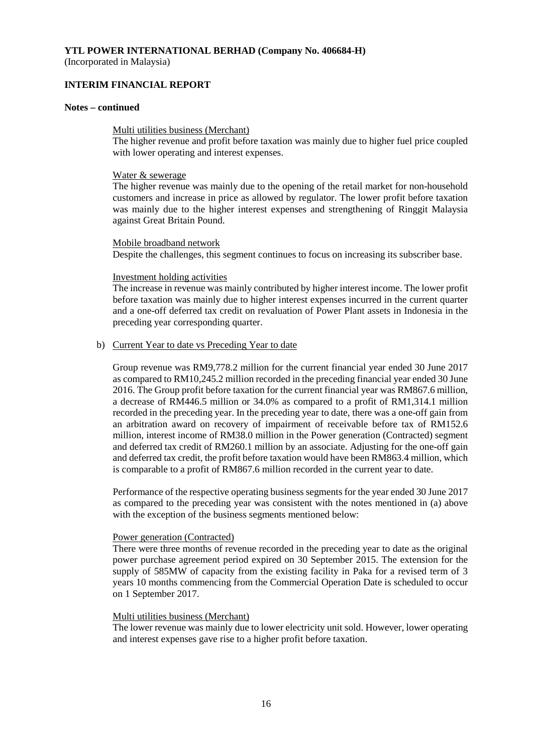(Incorporated in Malaysia)

### **INTERIM FINANCIAL REPORT**

#### **Notes – continued**

#### Multi utilities business (Merchant)

The higher revenue and profit before taxation was mainly due to higher fuel price coupled with lower operating and interest expenses.

#### Water & sewerage

The higher revenue was mainly due to the opening of the retail market for non-household customers and increase in price as allowed by regulator. The lower profit before taxation was mainly due to the higher interest expenses and strengthening of Ringgit Malaysia against Great Britain Pound.

#### Mobile broadband network

Despite the challenges, this segment continues to focus on increasing its subscriber base.

#### Investment holding activities

The increase in revenue was mainly contributed by higher interest income. The lower profit before taxation was mainly due to higher interest expenses incurred in the current quarter and a one-off deferred tax credit on revaluation of Power Plant assets in Indonesia in the preceding year corresponding quarter.

#### b) Current Year to date vs Preceding Year to date

Group revenue was RM9,778.2 million for the current financial year ended 30 June 2017 as compared to RM10,245.2 million recorded in the preceding financial year ended 30 June 2016. The Group profit before taxation for the current financial year was RM867.6 million, a decrease of RM446.5 million or 34.0% as compared to a profit of RM1,314.1 million recorded in the preceding year. In the preceding year to date, there was a one-off gain from an arbitration award on recovery of impairment of receivable before tax of RM152.6 million, interest income of RM38.0 million in the Power generation (Contracted) segment and deferred tax credit of RM260.1 million by an associate. Adjusting for the one-off gain and deferred tax credit, the profit before taxation would have been RM863.4 million, which is comparable to a profit of RM867.6 million recorded in the current year to date.

Performance of the respective operating business segments for the year ended 30 June 2017 as compared to the preceding year was consistent with the notes mentioned in (a) above with the exception of the business segments mentioned below:

#### Power generation (Contracted)

There were three months of revenue recorded in the preceding year to date as the original power purchase agreement period expired on 30 September 2015. The extension for the supply of 585MW of capacity from the existing facility in Paka for a revised term of 3 years 10 months commencing from the Commercial Operation Date is scheduled to occur on 1 September 2017.

#### Multi utilities business (Merchant)

The lower revenue was mainly due to lower electricity unit sold. However, lower operating and interest expenses gave rise to a higher profit before taxation.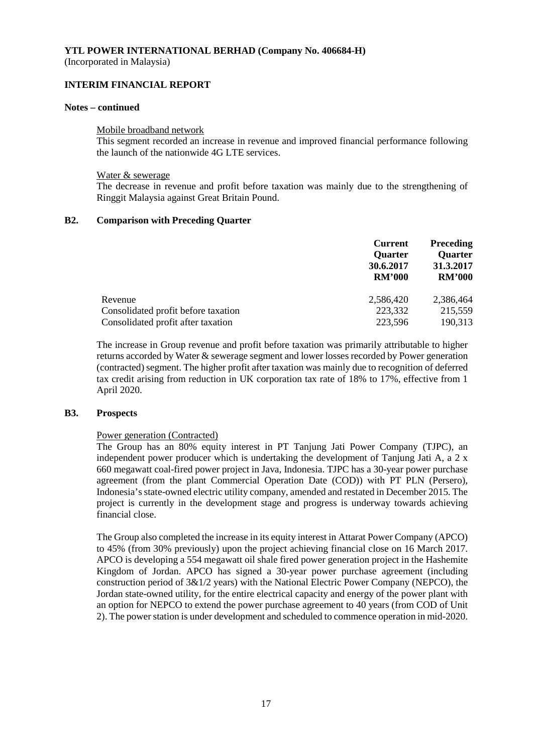(Incorporated in Malaysia)

### **INTERIM FINANCIAL REPORT**

#### **Notes – continued**

#### Mobile broadband network

This segment recorded an increase in revenue and improved financial performance following the launch of the nationwide 4G LTE services.

#### Water & sewerage

The decrease in revenue and profit before taxation was mainly due to the strengthening of Ringgit Malaysia against Great Britain Pound.

## **B2. Comparison with Preceding Quarter**

|                                     | <b>Current</b><br>Quarter<br>30.6.2017<br><b>RM'000</b> | <b>Preceding</b><br><b>Quarter</b><br>31.3.2017<br><b>RM'000</b> |
|-------------------------------------|---------------------------------------------------------|------------------------------------------------------------------|
| Revenue                             | 2.586.420                                               | 2,386,464                                                        |
| Consolidated profit before taxation | 223,332                                                 | 215,559                                                          |
| Consolidated profit after taxation  | 223,596                                                 | 190,313                                                          |

The increase in Group revenue and profit before taxation was primarily attributable to higher returns accorded by Water & sewerage segment and lower losses recorded by Power generation (contracted) segment. The higher profit after taxation was mainly due to recognition of deferred tax credit arising from reduction in UK corporation tax rate of 18% to 17%, effective from 1 April 2020.

#### **B3. Prospects**

#### Power generation (Contracted)

The Group has an 80% equity interest in PT Tanjung Jati Power Company (TJPC), an independent power producer which is undertaking the development of Tanjung Jati A, a 2 x 660 megawatt coal-fired power project in Java, Indonesia. TJPC has a 30-year power purchase agreement (from the plant Commercial Operation Date (COD)) with PT PLN (Persero), Indonesia's state-owned electric utility company, amended and restated in December 2015. The project is currently in the development stage and progress is underway towards achieving financial close.

The Group also completed the increase in its equity interest in Attarat Power Company (APCO) to 45% (from 30% previously) upon the project achieving financial close on 16 March 2017. APCO is developing a 554 megawatt oil shale fired power generation project in the Hashemite Kingdom of Jordan. APCO has signed a 30-year power purchase agreement (including construction period of 3&1/2 years) with the National Electric Power Company (NEPCO), the Jordan state-owned utility, for the entire electrical capacity and energy of the power plant with an option for NEPCO to extend the power purchase agreement to 40 years (from COD of Unit 2). The power station is under development and scheduled to commence operation in mid-2020.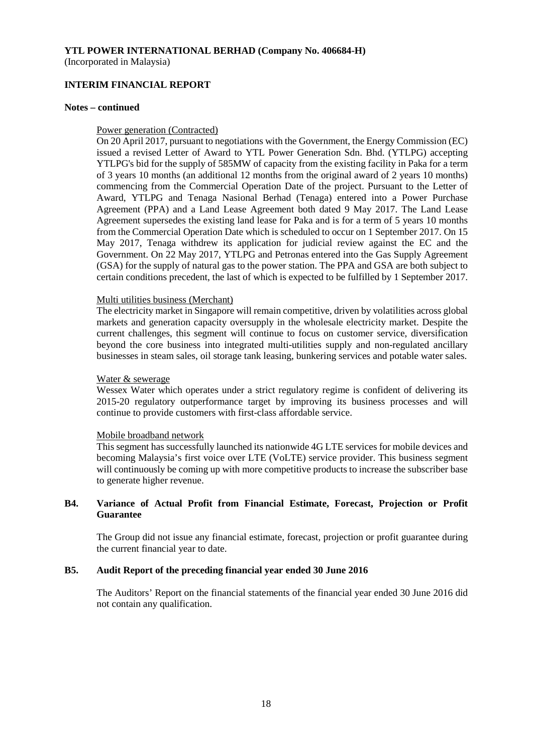# **INTERIM FINANCIAL REPORT**

#### **Notes – continued**

#### Power generation (Contracted)

On 20 April 2017, pursuant to negotiations with the Government, the Energy Commission (EC) issued a revised Letter of Award to YTL Power Generation Sdn. Bhd. (YTLPG) accepting YTLPG's bid for the supply of 585MW of capacity from the existing facility in Paka for a term of 3 years 10 months (an additional 12 months from the original award of 2 years 10 months) commencing from the Commercial Operation Date of the project. Pursuant to the Letter of Award, YTLPG and Tenaga Nasional Berhad (Tenaga) entered into a Power Purchase Agreement (PPA) and a Land Lease Agreement both dated 9 May 2017. The Land Lease Agreement supersedes the existing land lease for Paka and is for a term of 5 years 10 months from the Commercial Operation Date which is scheduled to occur on 1 September 2017. On 15 May 2017, Tenaga withdrew its application for judicial review against the EC and the Government. On 22 May 2017, YTLPG and Petronas entered into the Gas Supply Agreement (GSA) for the supply of natural gas to the power station. The PPA and GSA are both subject to certain conditions precedent, the last of which is expected to be fulfilled by 1 September 2017.

#### Multi utilities business (Merchant)

The electricity market in Singapore will remain competitive, driven by volatilities across global markets and generation capacity oversupply in the wholesale electricity market. Despite the current challenges, this segment will continue to focus on customer service, diversification beyond the core business into integrated multi-utilities supply and non-regulated ancillary businesses in steam sales, oil storage tank leasing, bunkering services and potable water sales.

#### Water & sewerage

Wessex Water which operates under a strict regulatory regime is confident of delivering its 2015-20 regulatory outperformance target by improving its business processes and will continue to provide customers with first-class affordable service.

#### Mobile broadband network

This segment has successfully launched its nationwide 4G LTE services for mobile devices and becoming Malaysia's first voice over LTE (VoLTE) service provider. This business segment will continuously be coming up with more competitive products to increase the subscriber base to generate higher revenue.

# **B4. Variance of Actual Profit from Financial Estimate, Forecast, Projection or Profit Guarantee**

The Group did not issue any financial estimate, forecast, projection or profit guarantee during the current financial year to date.

## **B5. Audit Report of the preceding financial year ended 30 June 2016**

The Auditors' Report on the financial statements of the financial year ended 30 June 2016 did not contain any qualification.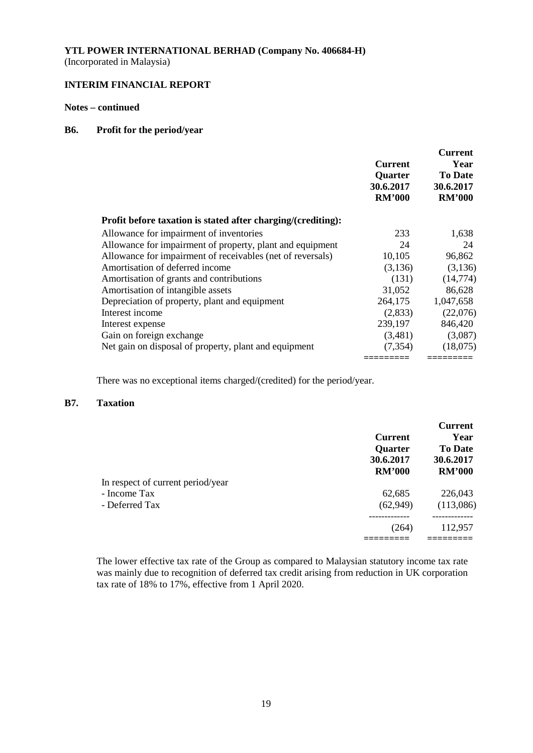# **INTERIM FINANCIAL REPORT**

# **Notes – continued**

#### **B6. Profit for the period/year**

|                                                              | <b>Current</b><br>Quarter<br>30.6.2017<br><b>RM'000</b> | <b>Current</b><br>Year<br><b>To Date</b><br>30.6.2017<br><b>RM'000</b> |
|--------------------------------------------------------------|---------------------------------------------------------|------------------------------------------------------------------------|
| Profit before taxation is stated after charging/(crediting): |                                                         |                                                                        |
| Allowance for impairment of inventories                      | 233                                                     | 1,638                                                                  |
| Allowance for impairment of property, plant and equipment    | 24                                                      | 24                                                                     |
| Allowance for impairment of receivables (net of reversals)   | 10,105                                                  | 96,862                                                                 |
| Amortisation of deferred income                              | (3,136)                                                 | (3,136)                                                                |
| Amortisation of grants and contributions                     | (131)                                                   | (14,774)                                                               |
| Amortisation of intangible assets                            | 31,052                                                  | 86,628                                                                 |
| Depreciation of property, plant and equipment                | 264,175                                                 | 1,047,658                                                              |
| Interest income                                              | (2,833)                                                 | (22,076)                                                               |
| Interest expense                                             | 239,197                                                 | 846,420                                                                |
| Gain on foreign exchange                                     | (3,481)                                                 | (3,087)                                                                |
| Net gain on disposal of property, plant and equipment        | (7, 354)                                                | (18,075)                                                               |
|                                                              |                                                         |                                                                        |

There was no exceptional items charged/(credited) for the period/year.

# **B7. Taxation**

|                                   | <b>Current</b><br><b>Quarter</b><br>30.6.2017<br><b>RM'000</b> | <b>Current</b><br>Year<br><b>To Date</b><br>30.6.2017<br><b>RM'000</b> |
|-----------------------------------|----------------------------------------------------------------|------------------------------------------------------------------------|
| In respect of current period/year |                                                                |                                                                        |
| - Income Tax                      | 62,685                                                         | 226,043                                                                |
| - Deferred Tax                    | (62,949)                                                       | (113,086)                                                              |
|                                   | (264)                                                          | 112,957                                                                |
|                                   |                                                                |                                                                        |

The lower effective tax rate of the Group as compared to Malaysian statutory income tax rate was mainly due to recognition of deferred tax credit arising from reduction in UK corporation tax rate of 18% to 17%, effective from 1 April 2020.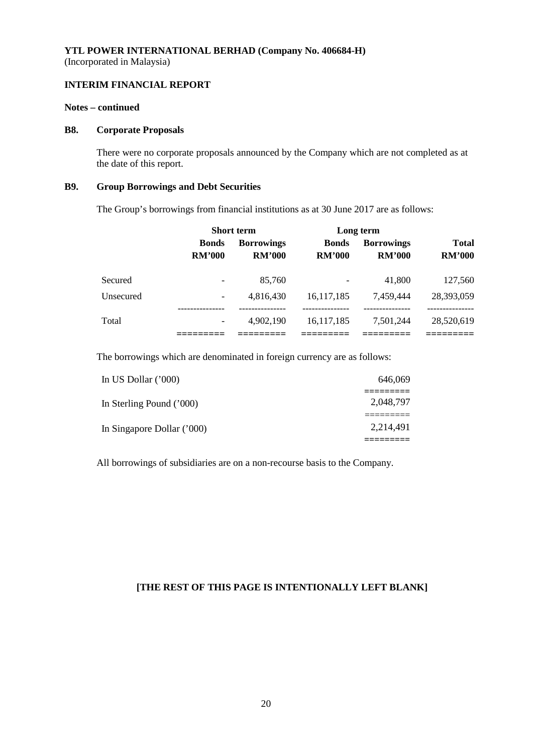# **INTERIM FINANCIAL REPORT**

# **Notes – continued**

#### **B8. Corporate Proposals**

There were no corporate proposals announced by the Company which are not completed as at the date of this report.

# **B9. Group Borrowings and Debt Securities**

The Group's borrowings from financial institutions as at 30 June 2017 are as follows:

|           |                               | <b>Short term</b>                  |                               | Long term                          |                               |
|-----------|-------------------------------|------------------------------------|-------------------------------|------------------------------------|-------------------------------|
|           | <b>Bonds</b><br><b>RM'000</b> | <b>Borrowings</b><br><b>RM'000</b> | <b>Bonds</b><br><b>RM'000</b> | <b>Borrowings</b><br><b>RM'000</b> | <b>Total</b><br><b>RM'000</b> |
| Secured   | $\overline{\phantom{a}}$      | 85,760                             |                               | 41,800                             | 127,560                       |
| Unsecured | $\overline{\phantom{0}}$      | 4,816,430                          | 16, 117, 185                  | 7,459,444                          | 28,393,059                    |
| Total     | $\overline{\phantom{a}}$      | 4.902.190                          | 16,117,185                    | 7.501.244                          | 28,520,619                    |
|           |                               |                                    |                               |                                    |                               |

The borrowings which are denominated in foreign currency are as follows:

| In US Dollar $(000)$       | 646,069   |
|----------------------------|-----------|
| In Sterling Pound ('000)   | 2,048,797 |
| In Singapore Dollar ('000) | 2,214,491 |
|                            |           |

All borrowings of subsidiaries are on a non-recourse basis to the Company.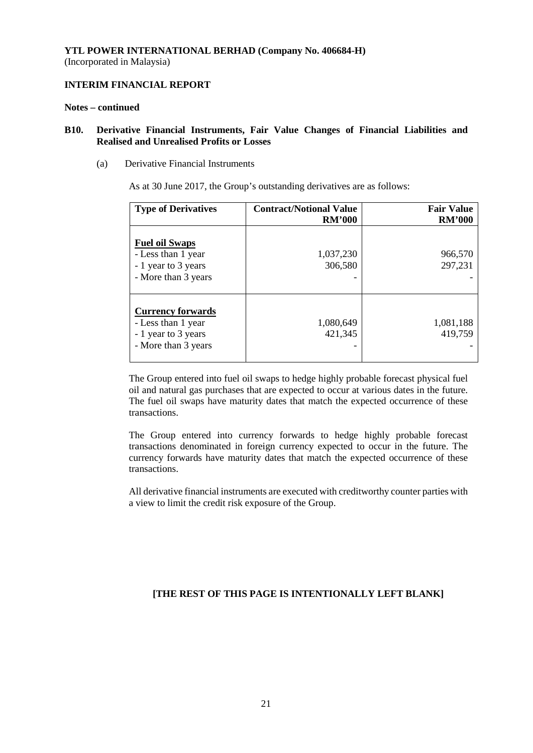# **INTERIM FINANCIAL REPORT**

#### **Notes – continued**

## **B10. Derivative Financial Instruments, Fair Value Changes of Financial Liabilities and Realised and Unrealised Profits or Losses**

(a) Derivative Financial Instruments

As at 30 June 2017, the Group's outstanding derivatives are as follows:

| <b>Type of Derivatives</b>                                                                   | <b>Contract/Notional Value</b><br><b>RM'000</b> | <b>Fair Value</b><br><b>RM'000</b> |
|----------------------------------------------------------------------------------------------|-------------------------------------------------|------------------------------------|
| <b>Fuel oil Swaps</b><br>- Less than 1 year<br>- 1 year to 3 years<br>- More than 3 years    | 1,037,230<br>306,580                            | 966,570<br>297,231                 |
| <b>Currency forwards</b><br>- Less than 1 year<br>- 1 year to 3 years<br>- More than 3 years | 1,080,649<br>421,345                            | 1,081,188<br>419,759               |

The Group entered into fuel oil swaps to hedge highly probable forecast physical fuel oil and natural gas purchases that are expected to occur at various dates in the future. The fuel oil swaps have maturity dates that match the expected occurrence of these transactions.

The Group entered into currency forwards to hedge highly probable forecast transactions denominated in foreign currency expected to occur in the future. The currency forwards have maturity dates that match the expected occurrence of these transactions.

All derivative financial instruments are executed with creditworthy counter parties with a view to limit the credit risk exposure of the Group.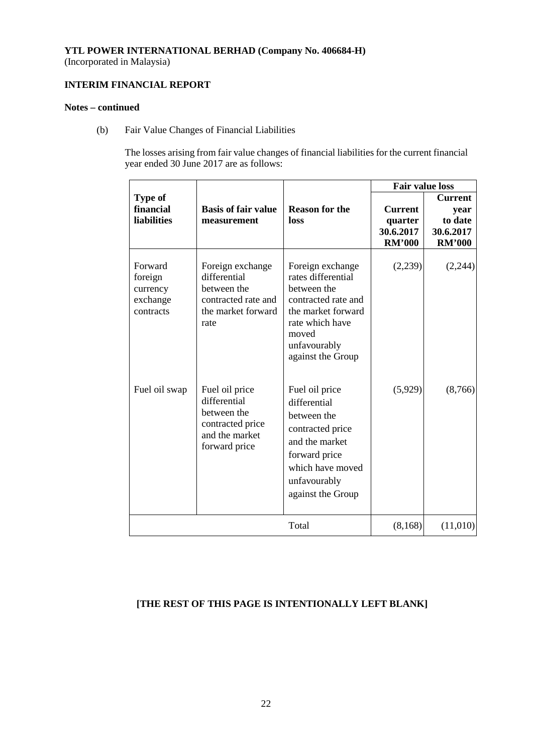(Incorporated in Malaysia)

# **INTERIM FINANCIAL REPORT**

# **Notes – continued**

(b) Fair Value Changes of Financial Liabilities

The losses arising from fair value changes of financial liabilities for the current financial year ended 30 June 2017 are as follows:

|                                                         |                                                                                                      |                                                                                                                                                                     | <b>Fair value loss</b>                                  |                                                                 |
|---------------------------------------------------------|------------------------------------------------------------------------------------------------------|---------------------------------------------------------------------------------------------------------------------------------------------------------------------|---------------------------------------------------------|-----------------------------------------------------------------|
| <b>Type of</b><br>financial<br><b>liabilities</b>       | <b>Basis of fair value</b><br>measurement                                                            | <b>Reason for the</b><br>loss                                                                                                                                       | <b>Current</b><br>quarter<br>30.6.2017<br><b>RM'000</b> | <b>Current</b><br>year<br>to date<br>30.6.2017<br><b>RM'000</b> |
| Forward<br>foreign<br>currency<br>exchange<br>contracts | Foreign exchange<br>differential<br>between the<br>contracted rate and<br>the market forward<br>rate | Foreign exchange<br>rates differential<br>between the<br>contracted rate and<br>the market forward<br>rate which have<br>moved<br>unfavourably<br>against the Group | (2,239)                                                 | (2,244)                                                         |
| Fuel oil swap                                           | Fuel oil price<br>differential<br>between the<br>contracted price<br>and the market<br>forward price | Fuel oil price<br>differential<br>between the<br>contracted price<br>and the market<br>forward price<br>which have moved<br>unfavourably<br>against the Group       | (5,929)                                                 | (8,766)                                                         |
|                                                         |                                                                                                      | Total                                                                                                                                                               | (8,168)                                                 | (11,010)                                                        |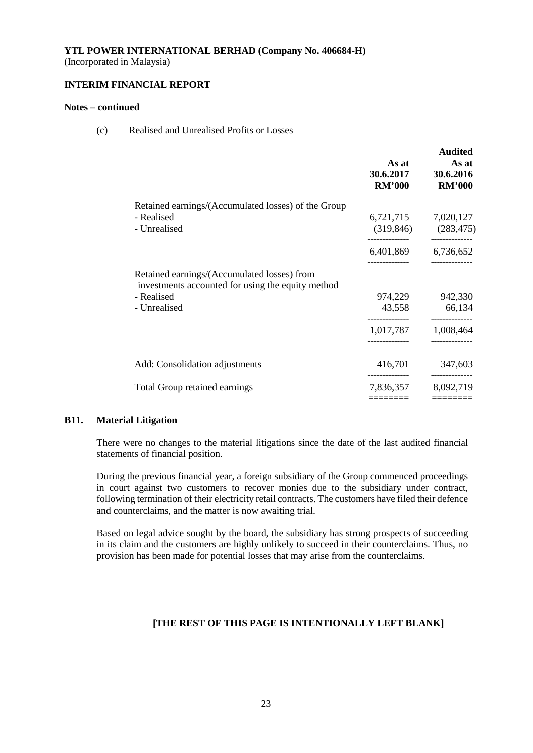(Incorporated in Malaysia)

# **INTERIM FINANCIAL REPORT**

# **Notes – continued**

(c) Realised and Unrealised Profits or Losses

|                                                                                                                                | As at<br>30.6.2017<br><b>RM'000</b>      | <b>Audited</b><br>As at<br>30.6.2016<br><b>RM'000</b> |
|--------------------------------------------------------------------------------------------------------------------------------|------------------------------------------|-------------------------------------------------------|
| Retained earnings/(Accumulated losses) of the Group<br>- Realised<br>- Unrealised                                              | 6,721,715<br>(319, 846)                  | 7,020,127<br>(283, 475)                               |
|                                                                                                                                |                                          | 6,401,869 6,736,652                                   |
| Retained earnings/(Accumulated losses) from<br>investments accounted for using the equity method<br>- Realised<br>- Unrealised | 974,229<br>43,558<br>1,017,787 1,008,464 | 942,330<br>66,134                                     |
| Add: Consolidation adjustments                                                                                                 | 416,701                                  | 347,603                                               |
| <b>Total Group retained earnings</b>                                                                                           | 7,836,357<br>========                    | 8,092,719<br>========                                 |

# **B11. Material Litigation**

There were no changes to the material litigations since the date of the last audited financial statements of financial position.

During the previous financial year, a foreign subsidiary of the Group commenced proceedings in court against two customers to recover monies due to the subsidiary under contract, following termination of their electricity retail contracts. The customers have filed their defence and counterclaims, and the matter is now awaiting trial.

Based on legal advice sought by the board, the subsidiary has strong prospects of succeeding in its claim and the customers are highly unlikely to succeed in their counterclaims. Thus, no provision has been made for potential losses that may arise from the counterclaims.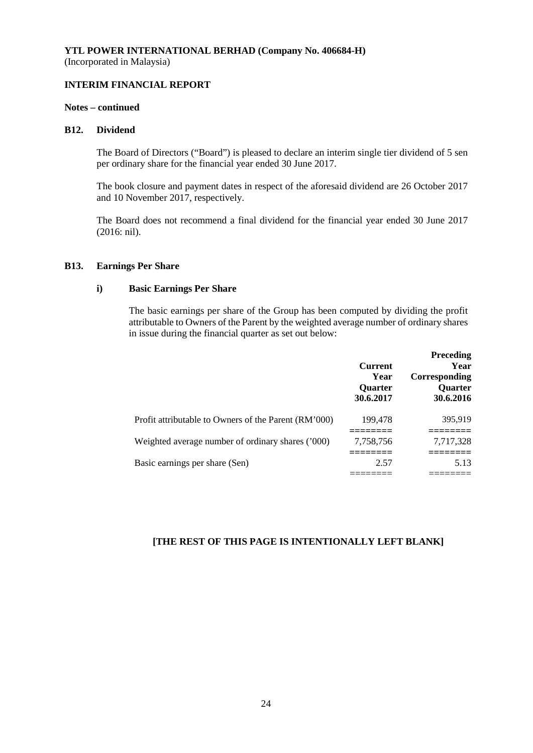# **INTERIM FINANCIAL REPORT**

#### **Notes – continued**

#### **B12. Dividend**

The Board of Directors ("Board") is pleased to declare an interim single tier dividend of 5 sen per ordinary share for the financial year ended 30 June 2017.

The book closure and payment dates in respect of the aforesaid dividend are 26 October 2017 and 10 November 2017, respectively.

The Board does not recommend a final dividend for the financial year ended 30 June 2017 (2016: nil).

#### **B13. Earnings Per Share**

#### **i) Basic Earnings Per Share**

The basic earnings per share of the Group has been computed by dividing the profit attributable to Owners of the Parent by the weighted average number of ordinary shares in issue during the financial quarter as set out below:

|                                                      | <b>Current</b><br>Year<br><b>Ouarter</b><br>30.6.2017 | <b>Preceding</b><br>Year<br>Corresponding<br><b>Ouarter</b><br>30.6.2016 |
|------------------------------------------------------|-------------------------------------------------------|--------------------------------------------------------------------------|
| Profit attributable to Owners of the Parent (RM'000) | 199,478                                               | 395,919                                                                  |
| Weighted average number of ordinary shares ('000)    | 7,758,756                                             | 7,717,328                                                                |
| Basic earnings per share (Sen)                       | 2.57                                                  | 5.13                                                                     |